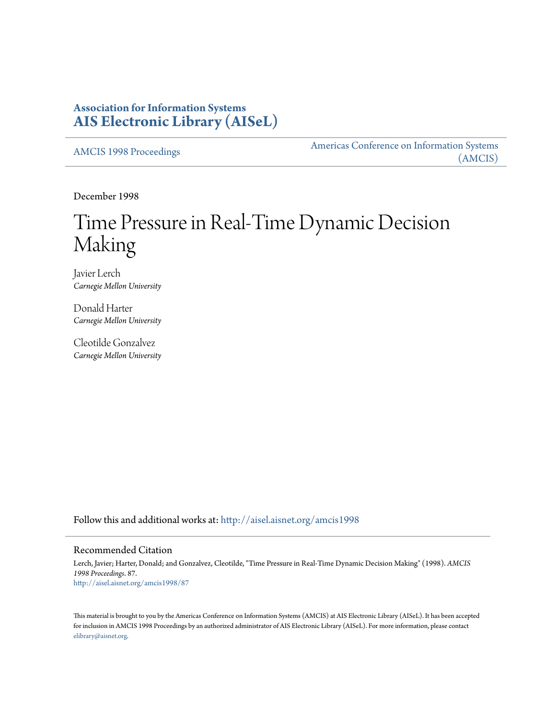# **Association for Information Systems [AIS Electronic Library \(AISeL\)](http://aisel.aisnet.org?utm_source=aisel.aisnet.org%2Famcis1998%2F87&utm_medium=PDF&utm_campaign=PDFCoverPages)**

[AMCIS 1998 Proceedings](http://aisel.aisnet.org/amcis1998?utm_source=aisel.aisnet.org%2Famcis1998%2F87&utm_medium=PDF&utm_campaign=PDFCoverPages)

[Americas Conference on Information Systems](http://aisel.aisnet.org/amcis?utm_source=aisel.aisnet.org%2Famcis1998%2F87&utm_medium=PDF&utm_campaign=PDFCoverPages) [\(AMCIS\)](http://aisel.aisnet.org/amcis?utm_source=aisel.aisnet.org%2Famcis1998%2F87&utm_medium=PDF&utm_campaign=PDFCoverPages)

December 1998

# Time Pressure in Real-Time Dynamic Decision Making

Javier Lerch *Carnegie Mellon University*

Donald Harter *Carnegie Mellon University*

Cleotilde Gonzalvez *Carnegie Mellon University*

Follow this and additional works at: [http://aisel.aisnet.org/amcis1998](http://aisel.aisnet.org/amcis1998?utm_source=aisel.aisnet.org%2Famcis1998%2F87&utm_medium=PDF&utm_campaign=PDFCoverPages)

## Recommended Citation

Lerch, Javier; Harter, Donald; and Gonzalvez, Cleotilde, "Time Pressure in Real-Time Dynamic Decision Making" (1998). *AMCIS 1998 Proceedings*. 87. [http://aisel.aisnet.org/amcis1998/87](http://aisel.aisnet.org/amcis1998/87?utm_source=aisel.aisnet.org%2Famcis1998%2F87&utm_medium=PDF&utm_campaign=PDFCoverPages)

This material is brought to you by the Americas Conference on Information Systems (AMCIS) at AIS Electronic Library (AISeL). It has been accepted for inclusion in AMCIS 1998 Proceedings by an authorized administrator of AIS Electronic Library (AISeL). For more information, please contact [elibrary@aisnet.org.](mailto:elibrary@aisnet.org%3E)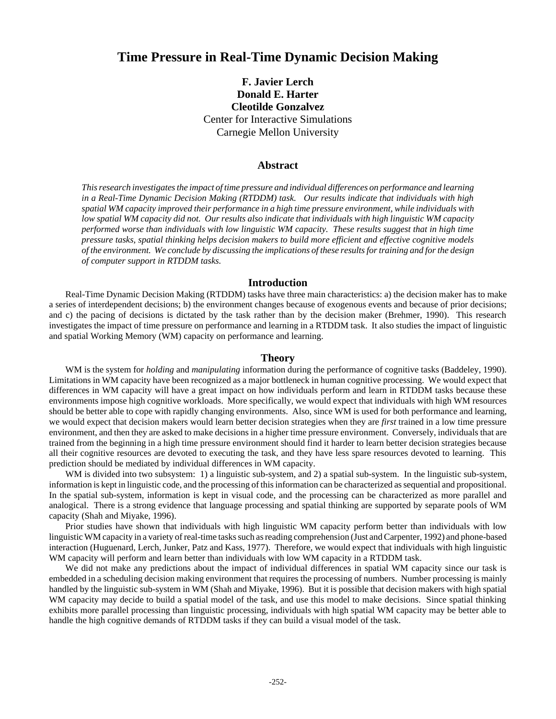# **Time Pressure in Real-Time Dynamic Decision Making**

**F. Javier Lerch Donald E. Harter Cleotilde Gonzalvez** Center for Interactive Simulations Carnegie Mellon University

#### **Abstract**

*This research investigates the impact of time pressure and individual differences on performance and learning in a Real-Time Dynamic Decision Making (RTDDM) task. Our results indicate that individuals with high spatial WM capacity improved their performance in a high time pressure environment, while individuals with low spatial WM capacity did not. Our results also indicate that individuals with high linguistic WM capacity performed worse than individuals with low linguistic WM capacity. These results suggest that in high time pressure tasks, spatial thinking helps decision makers to build more efficient and effective cognitive models of the environment. We conclude by discussing the implications of these results for training and for the design of computer support in RTDDM tasks.*

#### **Introduction**

Real-Time Dynamic Decision Making (RTDDM) tasks have three main characteristics: a) the decision maker has to make a series of interdependent decisions; b) the environment changes because of exogenous events and because of prior decisions; and c) the pacing of decisions is dictated by the task rather than by the decision maker (Brehmer, 1990). This research investigates the impact of time pressure on performance and learning in a RTDDM task. It also studies the impact of linguistic and spatial Working Memory (WM) capacity on performance and learning.

#### **Theory**

WM is the system for *holding* and *manipulating* information during the performance of cognitive tasks (Baddeley, 1990). Limitations in WM capacity have been recognized as a major bottleneck in human cognitive processing. We would expect that differences in WM capacity will have a great impact on how individuals perform and learn in RTDDM tasks because these environments impose high cognitive workloads. More specifically, we would expect that individuals with high WM resources should be better able to cope with rapidly changing environments. Also, since WM is used for both performance and learning, we would expect that decision makers would learn better decision strategies when they are *first* trained in a low time pressure environment, and then they are asked to make decisions in a higher time pressure environment. Conversely, individuals that are trained from the beginning in a high time pressure environment should find it harder to learn better decision strategies because all their cognitive resources are devoted to executing the task, and they have less spare resources devoted to learning. This prediction should be mediated by individual differences in WM capacity.

WM is divided into two subsystem: 1) a linguistic sub-system, and 2) a spatial sub-system. In the linguistic sub-system, information is kept in linguistic code, and the processing of this information can be characterized as sequential and propositional. In the spatial sub-system, information is kept in visual code, and the processing can be characterized as more parallel and analogical. There is a strong evidence that language processing and spatial thinking are supported by separate pools of WM capacity (Shah and Miyake, 1996).

Prior studies have shown that individuals with high linguistic WM capacity perform better than individuals with low linguistic WM capacity in a variety of real-time tasks such as reading comprehension (Just and Carpenter, 1992) and phone-based interaction (Huguenard, Lerch, Junker, Patz and Kass, 1977). Therefore, we would expect that individuals with high linguistic WM capacity will perform and learn better than individuals with low WM capacity in a RTDDM task.

We did not make any predictions about the impact of individual differences in spatial WM capacity since our task is embedded in a scheduling decision making environment that requires the processing of numbers. Number processing is mainly handled by the linguistic sub-system in WM (Shah and Miyake, 1996). But it is possible that decision makers with high spatial WM capacity may decide to build a spatial model of the task, and use this model to make decisions. Since spatial thinking exhibits more parallel processing than linguistic processing, individuals with high spatial WM capacity may be better able to handle the high cognitive demands of RTDDM tasks if they can build a visual model of the task.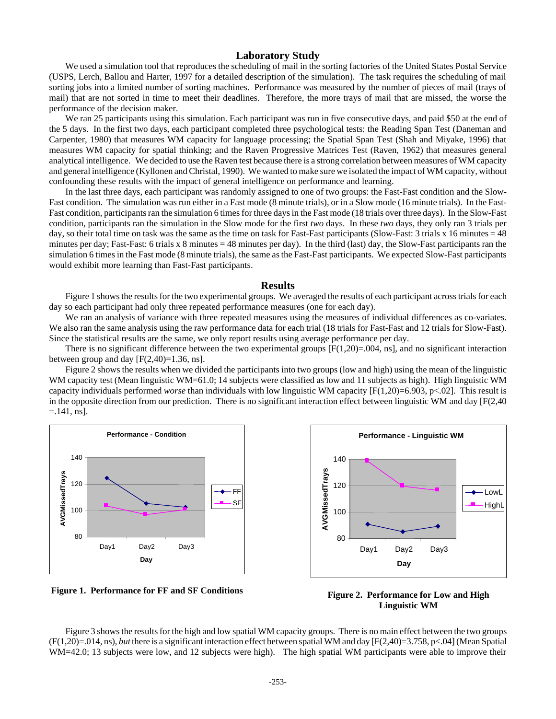#### **Laboratory Study**

We used a simulation tool that reproduces the scheduling of mail in the sorting factories of the United States Postal Service (USPS, Lerch, Ballou and Harter, 1997 for a detailed description of the simulation). The task requires the scheduling of mail sorting jobs into a limited number of sorting machines. Performance was measured by the number of pieces of mail (trays of mail) that are not sorted in time to meet their deadlines. Therefore, the more trays of mail that are missed, the worse the performance of the decision maker.

We ran 25 participants using this simulation. Each participant was run in five consecutive days, and paid \$50 at the end of the 5 days. In the first two days, each participant completed three psychological tests: the Reading Span Test (Daneman and Carpenter, 1980) that measures WM capacity for language processing; the Spatial Span Test (Shah and Miyake, 1996) that measures WM capacity for spatial thinking; and the Raven Progressive Matrices Test (Raven, 1962) that measures general analytical intelligence. We decided to use the Raven test because there is a strong correlation between measures of WM capacity and general intelligence (Kyllonen and Christal, 1990). We wanted to make sure we isolated the impact of WM capacity, without confounding these results with the impact of general intelligence on performance and learning.

In the last three days, each participant was randomly assigned to one of two groups: the Fast-Fast condition and the Slow-Fast condition. The simulation was run either in a Fast mode (8 minute trials), or in a Slow mode (16 minute trials). In the Fast-Fast condition, participants ran the simulation 6 times for three days in the Fast mode (18 trials over three days). In the Slow-Fast condition, participants ran the simulation in the Slow mode for the first *two* days. In these *two* days, they only ran 3 trials per day, so their total time on task was the same as the time on task for Fast-Fast participants (Slow-Fast: 3 trials  $x$  16 minutes = 48 minutes per day; Fast-Fast: 6 trials x 8 minutes = 48 minutes per day). In the third (last) day, the Slow-Fast participants ran the simulation 6 times in the Fast mode (8 minute trials), the same as the Fast-Fast participants. We expected Slow-Fast participants would exhibit more learning than Fast-Fast participants.

#### **Results**

Figure 1 shows the results for the two experimental groups. We averaged the results of each participant across trials for each day so each participant had only three repeated performance measures (one for each day).

We ran an analysis of variance with three repeated measures using the measures of individual differences as co-variates. We also ran the same analysis using the raw performance data for each trial (18 trials for Fast-Fast and 12 trials for Slow-Fast). Since the statistical results are the same, we only report results using average performance per day.

There is no significant difference between the two experimental groups  $[F(1,20)=0.04, \text{ns}]$ , and no significant interaction between group and day  $[F(2,40)=1.36, \text{ns}]$ .

Figure 2 shows the results when we divided the participants into two groups (low and high) using the mean of the linguistic WM capacity test (Mean linguistic WM=61.0; 14 subjects were classified as low and 11 subjects as high). High linguistic WM capacity individuals performed *worse* than individuals with low linguistic WM capacity [F(1,20)=6.903, p<.02]. This result is in the opposite direction from our prediction. There is no significant interaction effect between linguistic WM and day [F(2,40  $=$ .141, ns].



**Figure 1. Performance for FF and SF Conditions**





Figure 3 shows the results for the high and low spatial WM capacity groups. There is no main effect between the two groups (F(1,20)=.014, ns), *but* there is a significant interaction effect between spatial WM and day [F(2,40)=3.758, p<.04] (Mean Spatial WM=42.0; 13 subjects were low, and 12 subjects were high). The high spatial WM participants were able to improve their